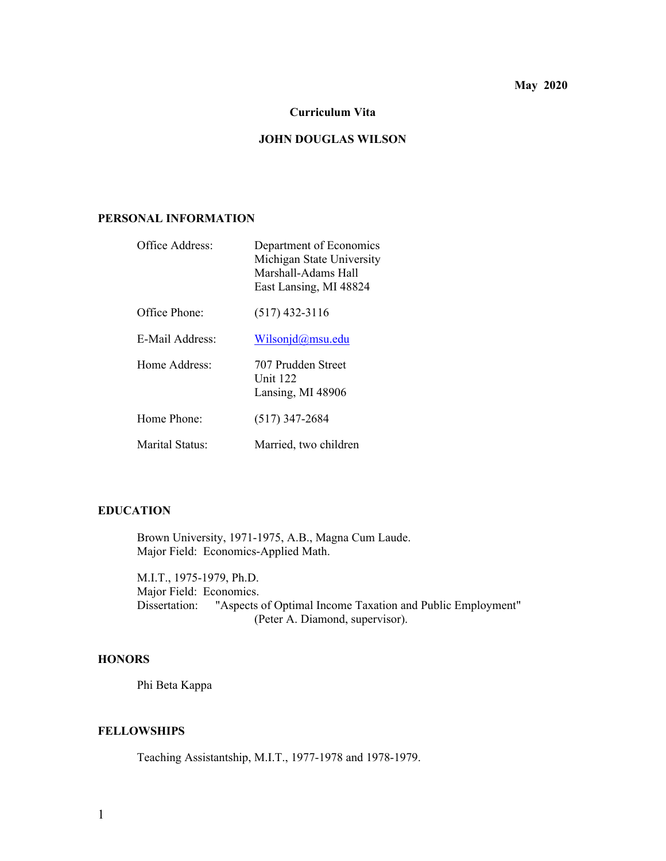# **May 2020**

### **Curriculum Vita**

## **JOHN DOUGLAS WILSON**

## **PERSONAL INFORMATION**

| Office Address: | Department of Economics<br>Michigan State University<br>Marshall-Adams Hall<br>East Lansing, MI 48824 |
|-----------------|-------------------------------------------------------------------------------------------------------|
| Office Phone:   | $(517)$ 432-3116                                                                                      |
| E-Mail Address: | Wilsonj $d$ @msu.edu                                                                                  |
| Home Address:   | 707 Prudden Street<br><b>Unit 122</b><br>Lansing, MI 48906                                            |
| Home Phone:     | $(517)$ 347-2684                                                                                      |
| Marital Status: | Married, two children                                                                                 |

## **EDUCATION**

 Brown University, 1971-1975, A.B., Magna Cum Laude. Major Field: Economics-Applied Math.

 M.I.T., 1975-1979, Ph.D. Major Field: Economics. Dissertation: "Aspects of Optimal Income Taxation and Public Employment" (Peter A. Diamond, supervisor).

## **HONORS**

Phi Beta Kappa

## **FELLOWSHIPS**

Teaching Assistantship, M.I.T., 1977-1978 and 1978-1979.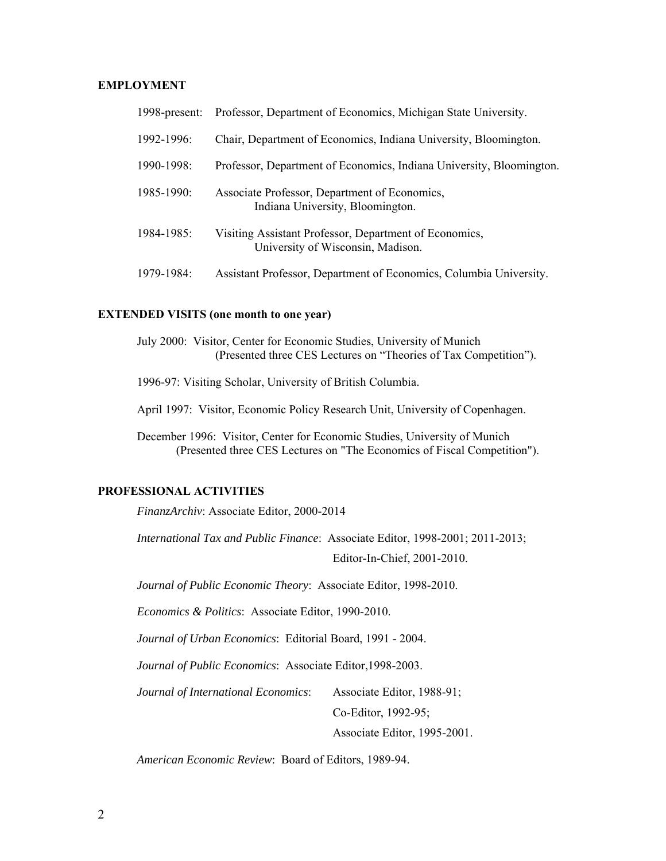## **EMPLOYMENT**

| 1998-present:   | Professor, Department of Economics, Michigan State University.                              |
|-----------------|---------------------------------------------------------------------------------------------|
| 1992-1996:      | Chair, Department of Economics, Indiana University, Bloomington.                            |
| 1990-1998:      | Professor, Department of Economics, Indiana University, Bloomington.                        |
| 1985-1990:      | Associate Professor, Department of Economics,<br>Indiana University, Bloomington.           |
| $1984 - 1985$ : | Visiting Assistant Professor, Department of Economics,<br>University of Wisconsin, Madison. |
| 1979-1984:      | Assistant Professor, Department of Economics, Columbia University.                          |

#### **EXTENDED VISITS (one month to one year)**

| July 2000: Visitor, Center for Economic Studies, University of Munich |
|-----------------------------------------------------------------------|
| (Presented three CES Lectures on "Theories of Tax Competition").      |

1996-97: Visiting Scholar, University of British Columbia.

April 1997: Visitor, Economic Policy Research Unit, University of Copenhagen.

 December 1996: Visitor, Center for Economic Studies, University of Munich (Presented three CES Lectures on "The Economics of Fiscal Competition").

## **PROFESSIONAL ACTIVITIES**

*FinanzArchiv*: Associate Editor, 2000-2014

*International Tax and Public Finance*: Associate Editor, 1998-2001; 2011-2013;

Editor-In-Chief, 2001-2010.

*Journal of Public Economic Theory*: Associate Editor, 1998-2010.

*Economics & Politics*: Associate Editor, 1990-2010.

*Journal of Urban Economics*: Editorial Board, 1991 - 2004.

*Journal of Public Economics*: Associate Editor,1998-2003.

*Journal of International Economics*: Associate Editor, 1988-91;

Co-Editor, 1992-95;

Associate Editor, 1995-2001.

*American Economic Review*: Board of Editors, 1989-94.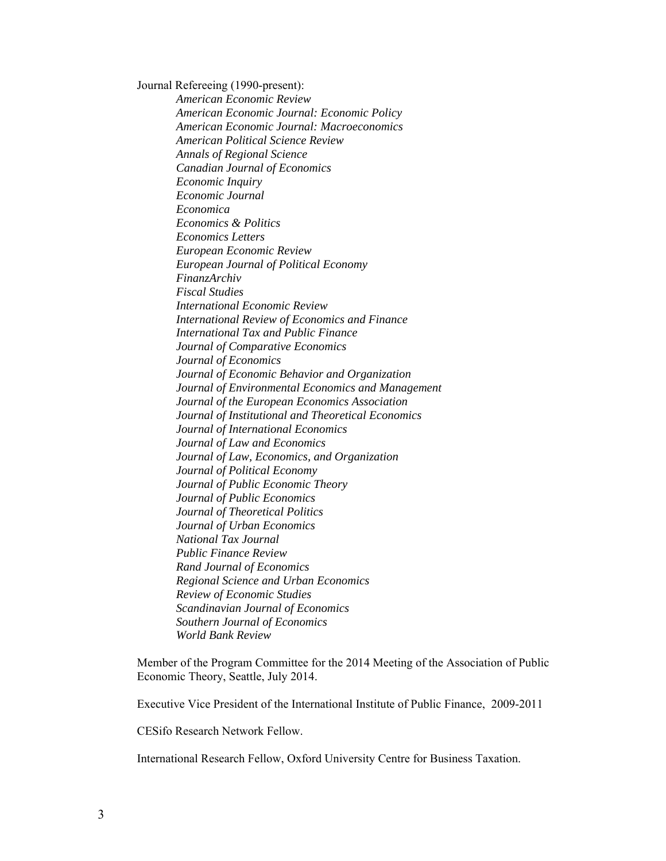Journal Refereeing (1990-present):

 *American Economic Review American Economic Journal: Economic Policy American Economic Journal: Macroeconomics American Political Science Review Annals of Regional Science Canadian Journal of Economics Economic Inquiry Economic Journal Economica Economics & Politics Economics Letters European Economic Review European Journal of Political Economy FinanzArchiv Fiscal Studies International Economic Review International Review of Economics and Finance International Tax and Public Finance Journal of Comparative Economics Journal of Economics Journal of Economic Behavior and Organization Journal of Environmental Economics and Management Journal of the European Economics Association Journal of Institutional and Theoretical Economics Journal of International Economics Journal of Law and Economics Journal of Law, Economics, and Organization Journal of Political Economy Journal of Public Economic Theory Journal of Public Economics Journal of Theoretical Politics Journal of Urban Economics National Tax Journal Public Finance Review Rand Journal of Economics Regional Science and Urban Economics Review of Economic Studies Scandinavian Journal of Economics Southern Journal of Economics World Bank Review* 

Member of the Program Committee for the 2014 Meeting of the Association of Public Economic Theory, Seattle, July 2014.

Executive Vice President of the International Institute of Public Finance, 2009-2011

CESifo Research Network Fellow.

International Research Fellow, Oxford University Centre for Business Taxation.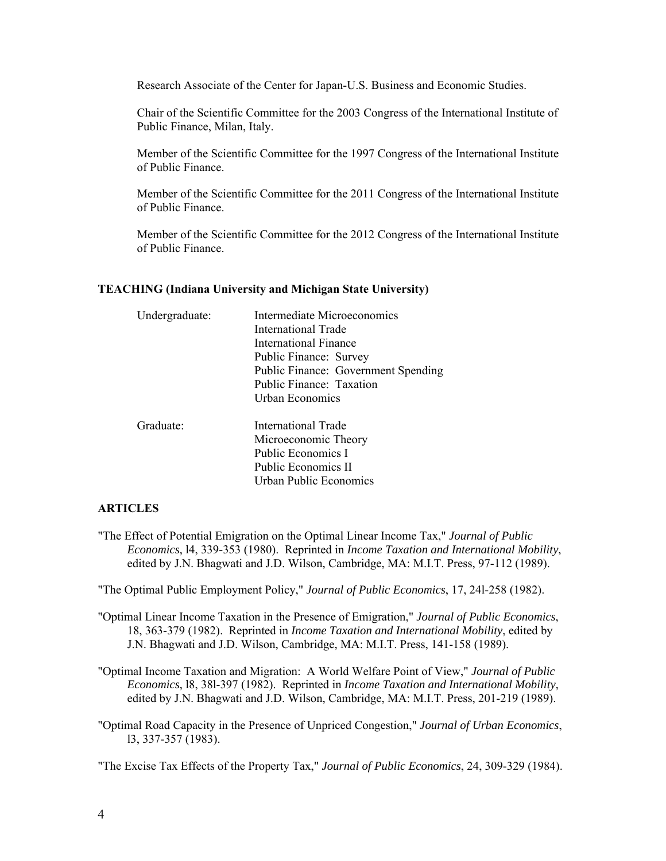Research Associate of the Center for Japan-U.S. Business and Economic Studies.

Chair of the Scientific Committee for the 2003 Congress of the International Institute of Public Finance, Milan, Italy.

Member of the Scientific Committee for the 1997 Congress of the International Institute of Public Finance.

Member of the Scientific Committee for the 2011 Congress of the International Institute of Public Finance.

Member of the Scientific Committee for the 2012 Congress of the International Institute of Public Finance.

#### **TEACHING (Indiana University and Michigan State University)**

| Undergraduate: | Intermediate Microeconomics         |
|----------------|-------------------------------------|
|                | International Trade                 |
|                | International Finance               |
|                | Public Finance: Survey              |
|                | Public Finance: Government Spending |
|                | Public Finance: Taxation            |
|                | Urban Economics                     |
| Graduate:      | International Trade                 |
|                | Microeconomic Theory                |
|                | Public Economics I                  |
|                | Public Economics II                 |
|                | Urban Public Economics              |

### **ARTICLES**

"The Effect of Potential Emigration on the Optimal Linear Income Tax," *Journal of Public Economics*, l4, 339-353 (1980). Reprinted in *Income Taxation and International Mobility*, edited by J.N. Bhagwati and J.D. Wilson, Cambridge, MA: M.I.T. Press, 97-112 (1989).

"The Optimal Public Employment Policy," *Journal of Public Economics*, 17, 24l-258 (1982).

- "Optimal Linear Income Taxation in the Presence of Emigration," *Journal of Public Economics*, 18, 363-379 (1982). Reprinted in *Income Taxation and International Mobility*, edited by J.N. Bhagwati and J.D. Wilson, Cambridge, MA: M.I.T. Press, 141-158 (1989).
- "Optimal Income Taxation and Migration: A World Welfare Point of View," *Journal of Public Economics*, l8, 38l-397 (1982). Reprinted in *Income Taxation and International Mobility*, edited by J.N. Bhagwati and J.D. Wilson, Cambridge, MA: M.I.T. Press, 201-219 (1989).
- "Optimal Road Capacity in the Presence of Unpriced Congestion," *Journal of Urban Economics*, l3, 337-357 (1983).

"The Excise Tax Effects of the Property Tax," *Journal of Public Economics*, 24, 309-329 (1984).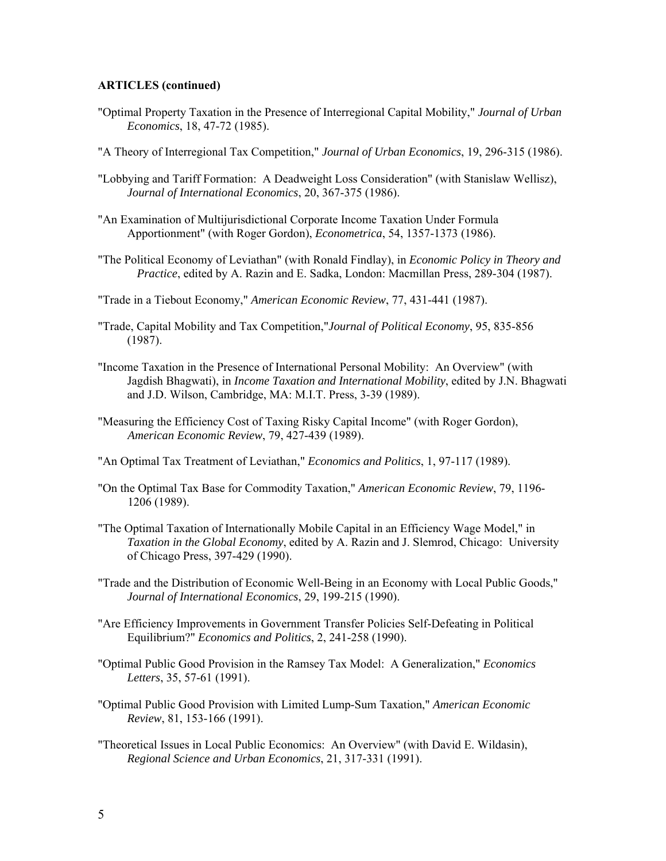- "Optimal Property Taxation in the Presence of Interregional Capital Mobility," *Journal of Urban Economics*, 18, 47-72 (1985).
- "A Theory of Interregional Tax Competition," *Journal of Urban Economics*, 19, 296-315 (1986).
- "Lobbying and Tariff Formation: A Deadweight Loss Consideration" (with Stanislaw Wellisz), *Journal of International Economics*, 20, 367-375 (1986).
- "An Examination of Multijurisdictional Corporate Income Taxation Under Formula Apportionment" (with Roger Gordon), *Econometrica*, 54, 1357-1373 (1986).
- "The Political Economy of Leviathan" (with Ronald Findlay), in *Economic Policy in Theory and Practice*, edited by A. Razin and E. Sadka, London: Macmillan Press, 289-304 (1987).
- "Trade in a Tiebout Economy," *American Economic Review*, 77, 431-441 (1987).
- "Trade, Capital Mobility and Tax Competition,"*Journal of Political Economy*, 95, 835-856 (1987).
- "Income Taxation in the Presence of International Personal Mobility: An Overview" (with Jagdish Bhagwati), in *Income Taxation and International Mobility*, edited by J.N. Bhagwati and J.D. Wilson, Cambridge, MA: M.I.T. Press, 3-39 (1989).
- "Measuring the Efficiency Cost of Taxing Risky Capital Income" (with Roger Gordon), *American Economic Review*, 79, 427-439 (1989).
- "An Optimal Tax Treatment of Leviathan," *Economics and Politics*, 1, 97-117 (1989).
- "On the Optimal Tax Base for Commodity Taxation," *American Economic Review*, 79, 1196- 1206 (1989).
- "The Optimal Taxation of Internationally Mobile Capital in an Efficiency Wage Model," in *Taxation in the Global Economy*, edited by A. Razin and J. Slemrod, Chicago: University of Chicago Press, 397-429 (1990).
- "Trade and the Distribution of Economic Well-Being in an Economy with Local Public Goods," *Journal of International Economics*, 29, 199-215 (1990).
- "Are Efficiency Improvements in Government Transfer Policies Self-Defeating in Political Equilibrium?" *Economics and Politics*, 2, 241-258 (1990).
- "Optimal Public Good Provision in the Ramsey Tax Model: A Generalization," *Economics Letters*, 35, 57-61 (1991).
- "Optimal Public Good Provision with Limited Lump-Sum Taxation," *American Economic Review*, 81, 153-166 (1991).
- "Theoretical Issues in Local Public Economics: An Overview" (with David E. Wildasin), *Regional Science and Urban Economics*, 21, 317-331 (1991).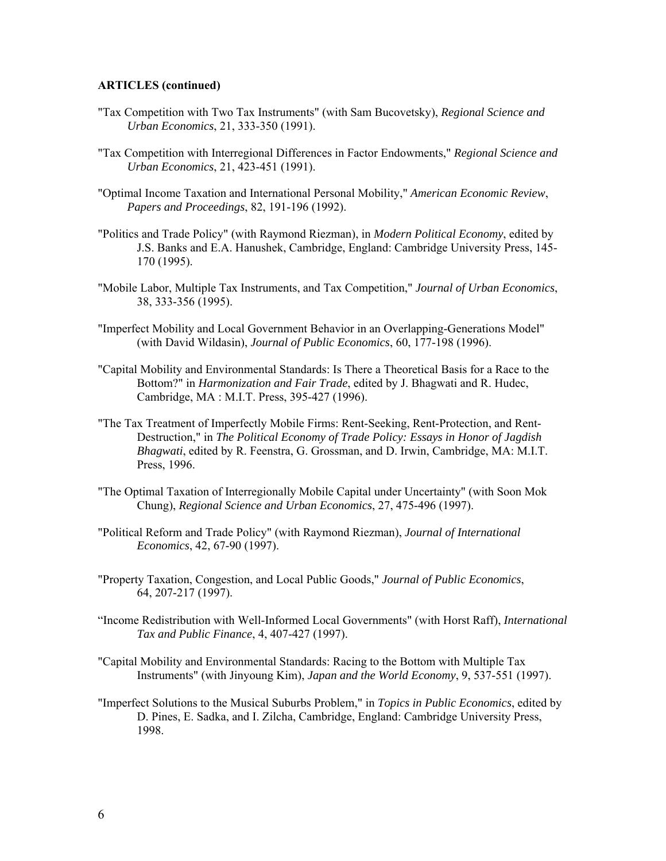- "Tax Competition with Two Tax Instruments" (with Sam Bucovetsky), *Regional Science and Urban Economics*, 21, 333-350 (1991).
- "Tax Competition with Interregional Differences in Factor Endowments," *Regional Science and Urban Economics*, 21, 423-451 (1991).
- "Optimal Income Taxation and International Personal Mobility," *American Economic Review*, *Papers and Proceedings*, 82, 191-196 (1992).
- "Politics and Trade Policy" (with Raymond Riezman), in *Modern Political Economy*, edited by J.S. Banks and E.A. Hanushek, Cambridge, England: Cambridge University Press, 145- 170 (1995).
- "Mobile Labor, Multiple Tax Instruments, and Tax Competition," *Journal of Urban Economics*, 38, 333-356 (1995).
- "Imperfect Mobility and Local Government Behavior in an Overlapping-Generations Model" (with David Wildasin), *Journal of Public Economics*, 60, 177-198 (1996).
- "Capital Mobility and Environmental Standards: Is There a Theoretical Basis for a Race to the Bottom?" in *Harmonization and Fair Trade*, edited by J. Bhagwati and R. Hudec, Cambridge, MA : M.I.T. Press, 395-427 (1996).
- "The Tax Treatment of Imperfectly Mobile Firms: Rent-Seeking, Rent-Protection, and Rent-Destruction," in *The Political Economy of Trade Policy: Essays in Honor of Jagdish Bhagwati*, edited by R. Feenstra, G. Grossman, and D. Irwin, Cambridge, MA: M.I.T. Press, 1996.
- "The Optimal Taxation of Interregionally Mobile Capital under Uncertainty" (with Soon Mok Chung), *Regional Science and Urban Economics*, 27, 475-496 (1997).
- "Political Reform and Trade Policy" (with Raymond Riezman), *Journal of International Economics*, 42, 67-90 (1997).
- "Property Taxation, Congestion, and Local Public Goods," *Journal of Public Economics*, 64, 207-217 (1997).
- "Income Redistribution with Well-Informed Local Governments" (with Horst Raff), *International Tax and Public Finance*, 4, 407-427 (1997).
- "Capital Mobility and Environmental Standards: Racing to the Bottom with Multiple Tax Instruments" (with Jinyoung Kim), *Japan and the World Economy*, 9, 537-551 (1997).
- "Imperfect Solutions to the Musical Suburbs Problem," in *Topics in Public Economics*, edited by D. Pines, E. Sadka, and I. Zilcha, Cambridge, England: Cambridge University Press, 1998.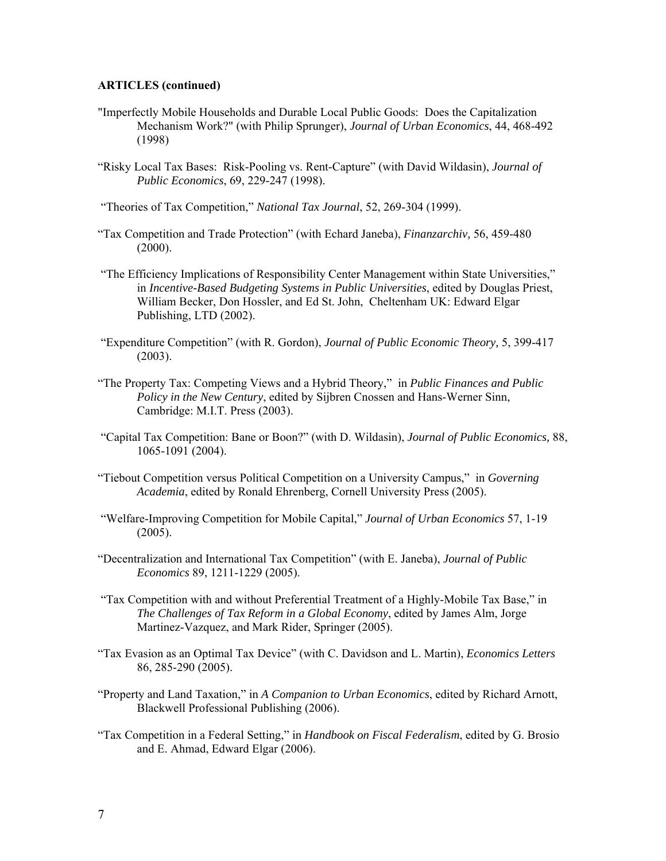- "Imperfectly Mobile Households and Durable Local Public Goods: Does the Capitalization Mechanism Work?" (with Philip Sprunger), *Journal of Urban Economics*, 44, 468-492 (1998)
- "Risky Local Tax Bases: Risk-Pooling vs. Rent-Capture" (with David Wildasin), *Journal of Public Economics*, 69, 229-247 (1998).

"Theories of Tax Competition," *National Tax Journal*, 52, 269-304 (1999).

- "Tax Competition and Trade Protection" (with Echard Janeba), *Finanzarchiv,* 56, 459-480 (2000).
- "The Efficiency Implications of Responsibility Center Management within State Universities," in *Incentive-Based Budgeting Systems in Public Universities*, edited by Douglas Priest, William Becker, Don Hossler, and Ed St. John, Cheltenham UK: Edward Elgar Publishing, LTD (2002).
- "Expenditure Competition" (with R. Gordon), *Journal of Public Economic Theory,* 5, 399-417 (2003).
- "The Property Tax: Competing Views and a Hybrid Theory," in *Public Finances and Public Policy in the New Century*, edited by Sijbren Cnossen and Hans-Werner Sinn, Cambridge: M.I.T. Press (2003).
- "Capital Tax Competition: Bane or Boon?" (with D. Wildasin), *Journal of Public Economics,* 88, 1065-1091 (2004).
- "Tiebout Competition versus Political Competition on a University Campus," in *Governing Academia*, edited by Ronald Ehrenberg, Cornell University Press (2005).
- "Welfare-Improving Competition for Mobile Capital," *Journal of Urban Economics* 57, 1-19 (2005).
- "Decentralization and International Tax Competition" (with E. Janeba), *Journal of Public Economics* 89, 1211-1229 (2005).
- "Tax Competition with and without Preferential Treatment of a Highly-Mobile Tax Base," in *The Challenges of Tax Reform in a Global Economy*, edited by James Alm, Jorge Martinez-Vazquez, and Mark Rider, Springer (2005).
- "Tax Evasion as an Optimal Tax Device" (with C. Davidson and L. Martin), *Economics Letters* 86, 285-290 (2005).
- "Property and Land Taxation," in *A Companion to Urban Economics*, edited by Richard Arnott, Blackwell Professional Publishing (2006).
- "Tax Competition in a Federal Setting," in *Handbook on Fiscal Federalism*, edited by G. Brosio and E. Ahmad, Edward Elgar (2006).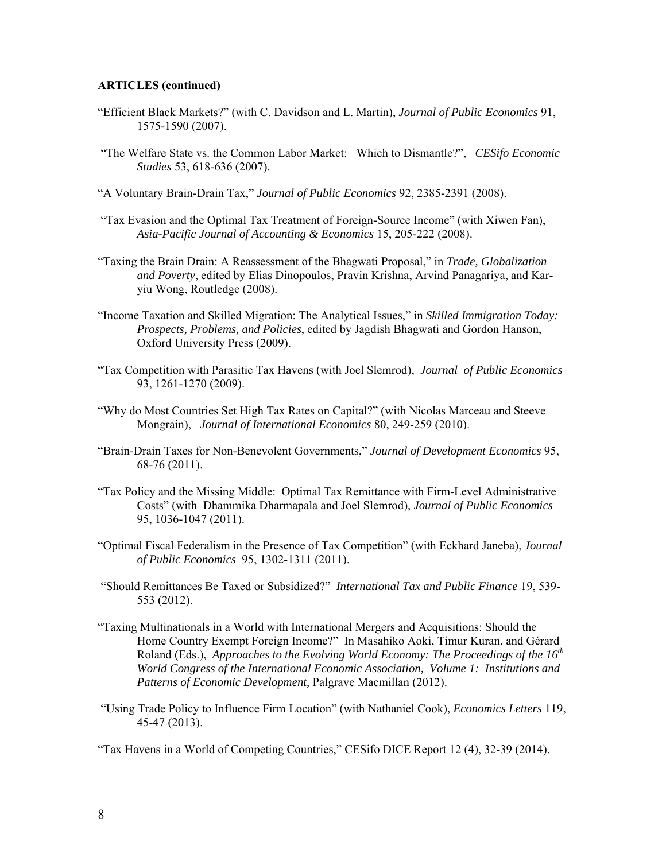- "Efficient Black Markets?" (with C. Davidson and L. Martin), *Journal of Public Economics* 91, 1575-1590 (2007).
- "The Welfare State vs. the Common Labor Market: Which to Dismantle?", *CESifo Economic Studies* 53, 618-636 (2007).
- "A Voluntary Brain-Drain Tax," *Journal of Public Economics* 92, 2385-2391 (2008).
- "Tax Evasion and the Optimal Tax Treatment of Foreign-Source Income" (with Xiwen Fan), *Asia-Pacific Journal of Accounting & Economics* 15, 205-222 (2008).
- "Taxing the Brain Drain: A Reassessment of the Bhagwati Proposal," in *Trade, Globalization and Poverty*, edited by Elias Dinopoulos, Pravin Krishna, Arvind Panagariya, and Karyiu Wong, Routledge (2008).
- "Income Taxation and Skilled Migration: The Analytical Issues," in *Skilled Immigration Today: Prospects, Problems, and Policies*, edited by Jagdish Bhagwati and Gordon Hanson, Oxford University Press (2009).
- "Tax Competition with Parasitic Tax Havens (with Joel Slemrod), *Journal of Public Economics*  93, 1261-1270 (2009).
- "Why do Most Countries Set High Tax Rates on Capital?" (with Nicolas Marceau and Steeve Mongrain), *Journal of International Economics* 80, 249-259 (2010).
- "Brain-Drain Taxes for Non-Benevolent Governments," *Journal of Development Economics* 95, 68-76 (2011).
- "Tax Policy and the Missing Middle: Optimal Tax Remittance with Firm-Level Administrative Costs" (with Dhammika Dharmapala and Joel Slemrod), *Journal of Public Economics*  95, 1036-1047 (2011).
- "Optimal Fiscal Federalism in the Presence of Tax Competition" (with Eckhard Janeba), *Journal of Public Economics* 95, 1302-1311 (2011).
- "Should Remittances Be Taxed or Subsidized?" *International Tax and Public Finance* 19, 539- 553 (2012).
- "Taxing Multinationals in a World with International Mergers and Acquisitions: Should the Home Country Exempt Foreign Income?" In Masahiko Aoki, Timur Kuran, and Gérard Roland (Eds.), *Approaches to the Evolving World Economy: The Proceedings of the 16<sup>th</sup> World Congress of the International Economic Association, Volume 1: Institutions and Patterns of Economic Development,* Palgrave Macmillan (2012).
- "Using Trade Policy to Influence Firm Location" (with Nathaniel Cook), *Economics Letters* 119, 45-47 (2013).

"Tax Havens in a World of Competing Countries," CESifo DICE Report 12 (4), 32-39 (2014).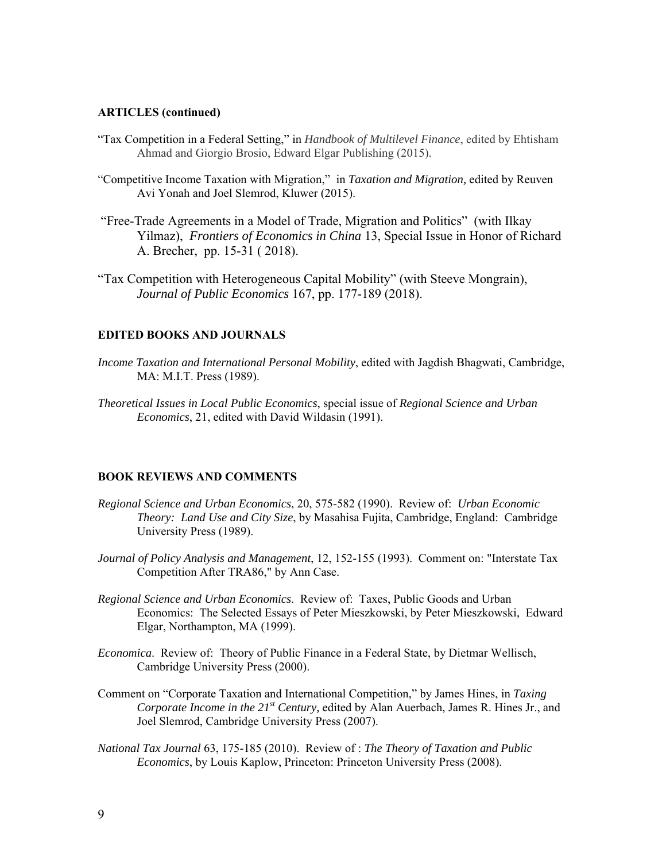- "Tax Competition in a Federal Setting," in *Handbook of Multilevel Finance*, edited by Ehtisham Ahmad and Giorgio Brosio, Edward Elgar Publishing (2015).
- "Competitive Income Taxation with Migration," in *Taxation and Migration,* edited by Reuven Avi Yonah and Joel Slemrod, Kluwer (2015).
- "Free-Trade Agreements in a Model of Trade, Migration and Politics" (with Ilkay Yilmaz), *Frontiers of Economics in China* 13, Special Issue in Honor of Richard A. Brecher, pp. 15-31 ( 2018).
- "Tax Competition with Heterogeneous Capital Mobility" (with Steeve Mongrain), *Journal of Public Economics* 167, pp. 177-189 (2018).

## **EDITED BOOKS AND JOURNALS**

- *Income Taxation and International Personal Mobility*, edited with Jagdish Bhagwati, Cambridge, MA: M.I.T. Press (1989).
- *Theoretical Issues in Local Public Economics*, special issue of *Regional Science and Urban Economics*, 21, edited with David Wildasin (1991).

#### **BOOK REVIEWS AND COMMENTS**

- *Regional Science and Urban Economics*, 20, 575-582 (1990). Review of: *Urban Economic Theory: Land Use and City Size*, by Masahisa Fujita, Cambridge, England: Cambridge University Press (1989).
- *Journal of Policy Analysis and Management*, 12, 152-155 (1993). Comment on: "Interstate Tax Competition After TRA86," by Ann Case.
- *Regional Science and Urban Economics*. Review of: Taxes, Public Goods and Urban Economics: The Selected Essays of Peter Mieszkowski, by Peter Mieszkowski, Edward Elgar, Northampton, MA (1999).
- *Economica*. Review of: Theory of Public Finance in a Federal State, by Dietmar Wellisch, Cambridge University Press (2000).
- Comment on "Corporate Taxation and International Competition," by James Hines, in *Taxing Corporate Income in the 21st Century,* edited by Alan Auerbach, James R. Hines Jr., and Joel Slemrod, Cambridge University Press (2007).
- *National Tax Journal* 63, 175-185 (2010). Review of : *The Theory of Taxation and Public Economics*, by Louis Kaplow, Princeton: Princeton University Press (2008).